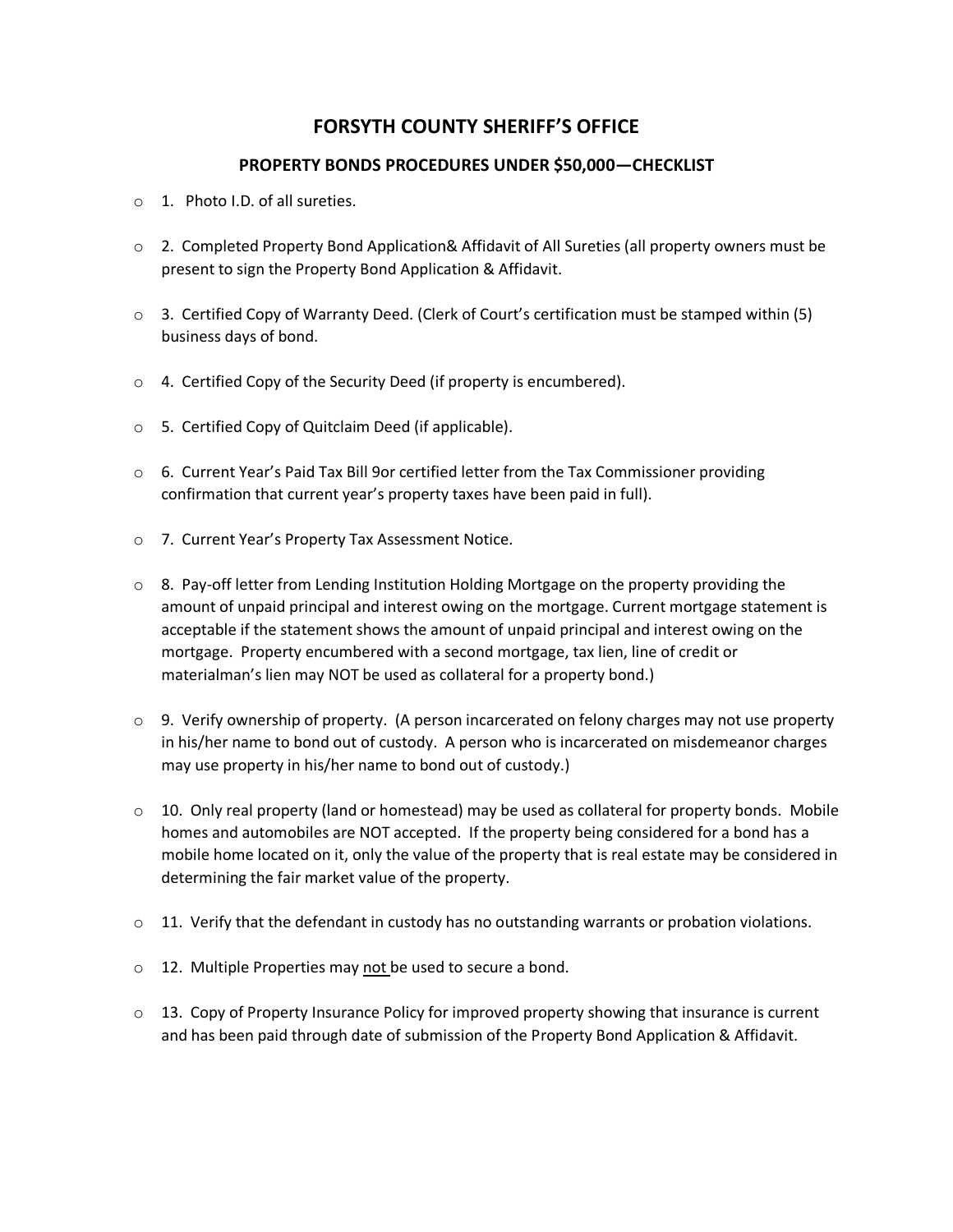## **FORSYTH COUNTY SHERIFF'S OFFICE**

## **PROPERTY BONDS PROCEDURES UNDER \$50,000—CHECKLIST**

- o 1. Photo I.D. of all sureties.
- o 2. Completed Property Bond Application& Affidavit of All Sureties (all property owners must be present to sign the Property Bond Application & Affidavit.
- $\circ$  3. Certified Copy of Warranty Deed. (Clerk of Court's certification must be stamped within (5) business days of bond.
- o 4. Certified Copy of the Security Deed (if property is encumbered).
- o 5. Certified Copy of Quitclaim Deed (if applicable).
- $\circ$  6. Current Year's Paid Tax Bill 9or certified letter from the Tax Commissioner providing confirmation that current year's property taxes have been paid in full).
- o 7. Current Year's Property Tax Assessment Notice.
- $\circ$  8. Pay-off letter from Lending Institution Holding Mortgage on the property providing the amount of unpaid principal and interest owing on the mortgage. Current mortgage statement is acceptable if the statement shows the amount of unpaid principal and interest owing on the mortgage. Property encumbered with a second mortgage, tax lien, line of credit or materialman's lien may NOT be used as collateral for a property bond.)
- $\circ$  9. Verify ownership of property. (A person incarcerated on felony charges may not use property in his/her name to bond out of custody. A person who is incarcerated on misdemeanor charges may use property in his/her name to bond out of custody.)
- $\circ$  10. Only real property (land or homestead) may be used as collateral for property bonds. Mobile homes and automobiles are NOT accepted. If the property being considered for a bond has a mobile home located on it, only the value of the property that is real estate may be considered in determining the fair market value of the property.
- $\circ$  11. Verify that the defendant in custody has no outstanding warrants or probation violations.
- o 12. Multiple Properties may not be used to secure a bond.
- $\circ$  13. Copy of Property Insurance Policy for improved property showing that insurance is current and has been paid through date of submission of the Property Bond Application & Affidavit.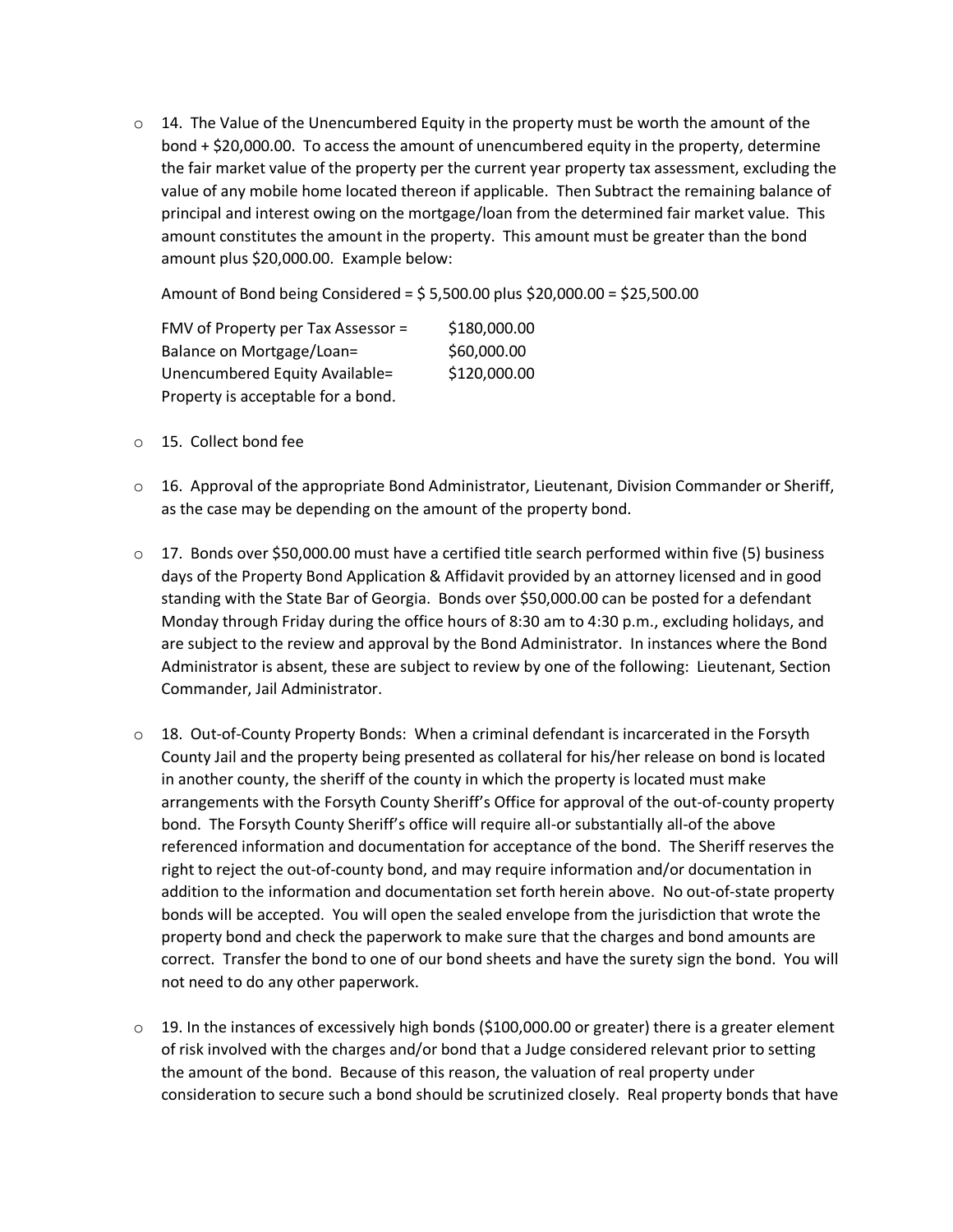$\circ$  14. The Value of the Unencumbered Equity in the property must be worth the amount of the bond + \$20,000.00. To access the amount of unencumbered equity in the property, determine the fair market value of the property per the current year property tax assessment, excluding the value of any mobile home located thereon if applicable. Then Subtract the remaining balance of principal and interest owing on the mortgage/loan from the determined fair market value. This amount constitutes the amount in the property. This amount must be greater than the bond amount plus \$20,000.00. Example below:

Amount of Bond being Considered = \$ 5,500.00 plus \$20,000.00 = \$25,500.00

FMV of Property per Tax Assessor =  $$180,000.00$ Balance on Mortgage/Loan= \$60,000.00 Unencumbered Equity Available= \$120,000.00 Property is acceptable for a bond.

- o 15. Collect bond fee
- $\circ$  16. Approval of the appropriate Bond Administrator, Lieutenant, Division Commander or Sheriff, as the case may be depending on the amount of the property bond.
- $\circ$  17. Bonds over \$50,000.00 must have a certified title search performed within five (5) business days of the Property Bond Application & Affidavit provided by an attorney licensed and in good standing with the State Bar of Georgia. Bonds over \$50,000.00 can be posted for a defendant Monday through Friday during the office hours of 8:30 am to 4:30 p.m., excluding holidays, and are subject to the review and approval by the Bond Administrator. In instances where the Bond Administrator is absent, these are subject to review by one of the following: Lieutenant, Section Commander, Jail Administrator.
- o 18. Out-of-County Property Bonds: When a criminal defendant is incarcerated in the Forsyth County Jail and the property being presented as collateral for his/her release on bond is located in another county, the sheriff of the county in which the property is located must make arrangements with the Forsyth County Sheriff's Office for approval of the out-of-county property bond. The Forsyth County Sheriff's office will require all-or substantially all-of the above referenced information and documentation for acceptance of the bond. The Sheriff reserves the right to reject the out-of-county bond, and may require information and/or documentation in addition to the information and documentation set forth herein above. No out-of-state property bonds will be accepted. You will open the sealed envelope from the jurisdiction that wrote the property bond and check the paperwork to make sure that the charges and bond amounts are correct. Transfer the bond to one of our bond sheets and have the surety sign the bond. You will not need to do any other paperwork.
- $\circ$  19. In the instances of excessively high bonds (\$100,000.00 or greater) there is a greater element of risk involved with the charges and/or bond that a Judge considered relevant prior to setting the amount of the bond. Because of this reason, the valuation of real property under consideration to secure such a bond should be scrutinized closely. Real property bonds that have